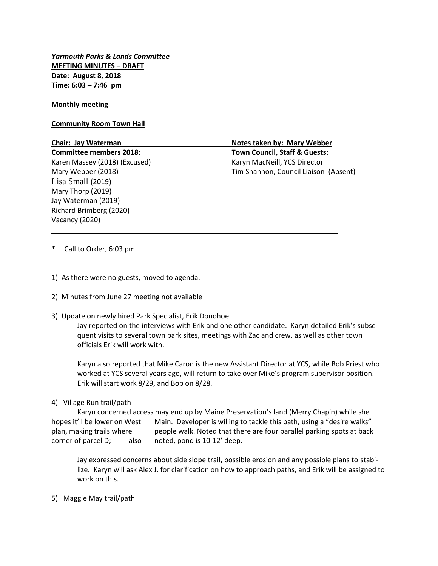*Yarmouth Parks & Lands Committee* **MEETING MINUTES – DRAFT Date: August 8, 2018 Time: 6:03 – 7:46 pm**

**Monthly meeting**

**Community Room Town Hall**

**Committee members 2018: Town Council, Staff & Guests:** Karen Massey (2018) (Excused) Karyn MacNeill, YCS Director Lisa Small (2019) Mary Thorp (2019) Jay Waterman (2019) Richard Brimberg (2020) Vacancy (2020)

**Chair: Jay Waterman Notes taken by: Mary Webber**  Mary Webber (2018) Tim Shannon, Council Liaison (Absent)

- \* Call to Order, 6:03 pm
- 1) As there were no guests, moved to agenda.
- 2) Minutes from June 27 meeting not available
- 3) Update on newly hired Park Specialist, Erik Donohoe

Jay reported on the interviews with Erik and one other candidate. Karyn detailed Erik's subsequent visits to several town park sites, meetings with Zac and crew, as well as other town officials Erik will work with.

\_\_\_\_\_\_\_\_\_\_\_\_\_\_\_\_\_\_\_\_\_\_\_\_\_\_\_\_\_\_\_\_\_\_\_\_\_\_\_\_\_\_\_\_\_\_\_\_\_\_\_\_\_\_\_\_\_\_\_\_\_\_\_\_\_\_\_\_\_\_\_\_\_

Karyn also reported that Mike Caron is the new Assistant Director at YCS, while Bob Priest who worked at YCS several years ago, will return to take over Mike's program supervisor position. Erik will start work 8/29, and Bob on 8/28.

4) Village Run trail/path

Karyn concerned access may end up by Maine Preservation's land (Merry Chapin) while she hopes it'll be lower on West Main. Developer is willing to tackle this path, using a "desire walks" plan, making trails where people walk. Noted that there are four parallel parking spots at back corner of parcel D; also noted, pond is 10-12' deep.

Jay expressed concerns about side slope trail, possible erosion and any possible plans to stabilize. Karyn will ask Alex J. for clarification on how to approach paths, and Erik will be assigned to work on this.

5) Maggie May trail/path